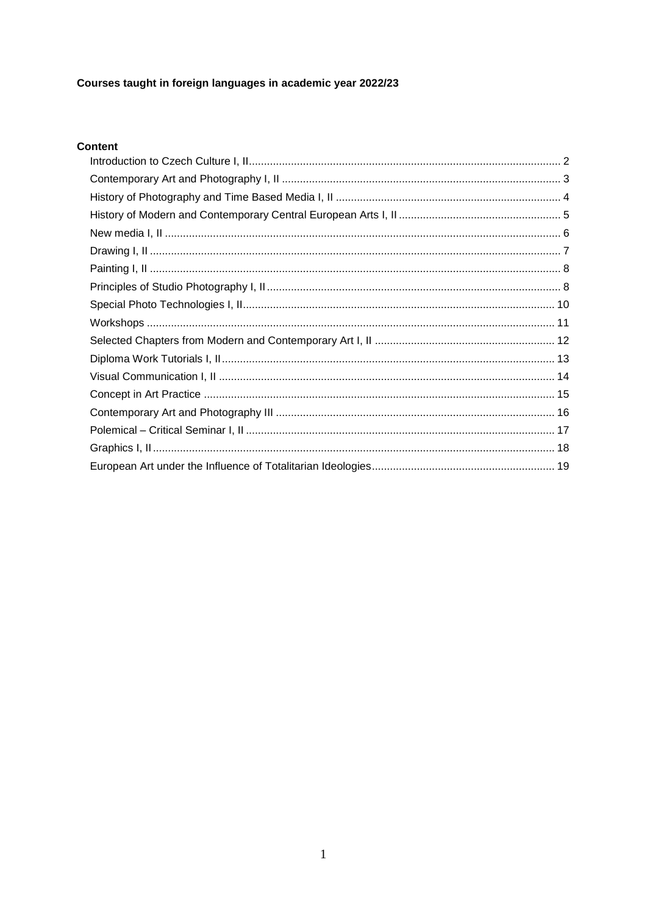## Courses taught in foreign languages in academic year 2022/23

## Content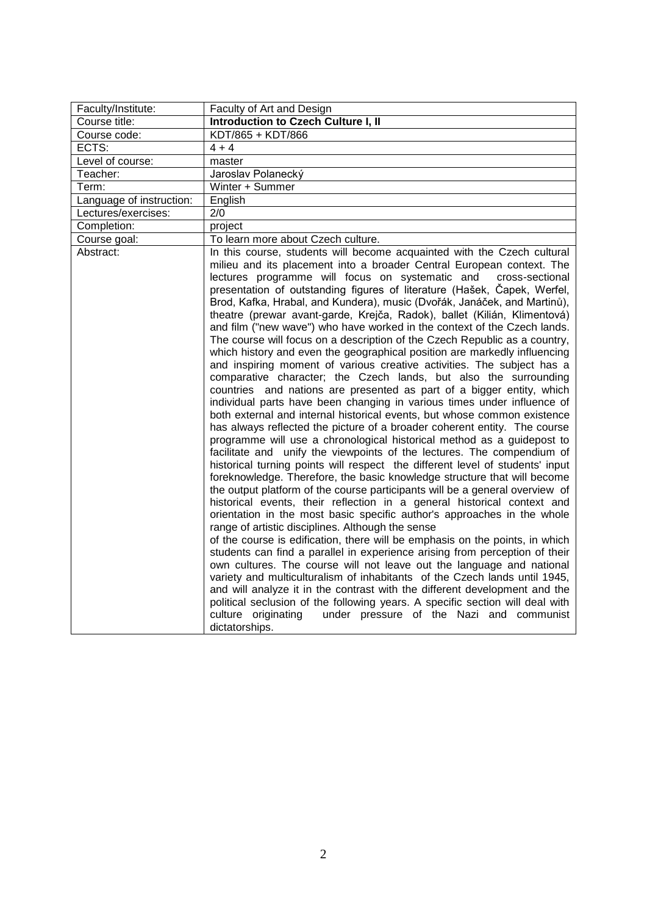<span id="page-1-0"></span>

| Faculty/Institute:       | Faculty of Art and Design                                                                                                                                                                                                                                                                                                                                                                                                                                                                                                                                                                                                                                                                                                                                                                                                                                                                                                                                                                                                                                                                                                                                                                                                                                                                                                                                                                                                                                                                                                                                                                                                                                                                                                                                                                                                                                                                                                                                                                                                                                                                                                                                                                                                                                                                                                                          |
|--------------------------|----------------------------------------------------------------------------------------------------------------------------------------------------------------------------------------------------------------------------------------------------------------------------------------------------------------------------------------------------------------------------------------------------------------------------------------------------------------------------------------------------------------------------------------------------------------------------------------------------------------------------------------------------------------------------------------------------------------------------------------------------------------------------------------------------------------------------------------------------------------------------------------------------------------------------------------------------------------------------------------------------------------------------------------------------------------------------------------------------------------------------------------------------------------------------------------------------------------------------------------------------------------------------------------------------------------------------------------------------------------------------------------------------------------------------------------------------------------------------------------------------------------------------------------------------------------------------------------------------------------------------------------------------------------------------------------------------------------------------------------------------------------------------------------------------------------------------------------------------------------------------------------------------------------------------------------------------------------------------------------------------------------------------------------------------------------------------------------------------------------------------------------------------------------------------------------------------------------------------------------------------------------------------------------------------------------------------------------------------|
| Course title:            | Introduction to Czech Culture I, II                                                                                                                                                                                                                                                                                                                                                                                                                                                                                                                                                                                                                                                                                                                                                                                                                                                                                                                                                                                                                                                                                                                                                                                                                                                                                                                                                                                                                                                                                                                                                                                                                                                                                                                                                                                                                                                                                                                                                                                                                                                                                                                                                                                                                                                                                                                |
| Course code:             | KDT/865 + KDT/866                                                                                                                                                                                                                                                                                                                                                                                                                                                                                                                                                                                                                                                                                                                                                                                                                                                                                                                                                                                                                                                                                                                                                                                                                                                                                                                                                                                                                                                                                                                                                                                                                                                                                                                                                                                                                                                                                                                                                                                                                                                                                                                                                                                                                                                                                                                                  |
| ECTS:                    | $4 + 4$                                                                                                                                                                                                                                                                                                                                                                                                                                                                                                                                                                                                                                                                                                                                                                                                                                                                                                                                                                                                                                                                                                                                                                                                                                                                                                                                                                                                                                                                                                                                                                                                                                                                                                                                                                                                                                                                                                                                                                                                                                                                                                                                                                                                                                                                                                                                            |
| Level of course:         | master                                                                                                                                                                                                                                                                                                                                                                                                                                                                                                                                                                                                                                                                                                                                                                                                                                                                                                                                                                                                                                                                                                                                                                                                                                                                                                                                                                                                                                                                                                                                                                                                                                                                                                                                                                                                                                                                                                                                                                                                                                                                                                                                                                                                                                                                                                                                             |
| Teacher:                 | Jaroslav Polanecký                                                                                                                                                                                                                                                                                                                                                                                                                                                                                                                                                                                                                                                                                                                                                                                                                                                                                                                                                                                                                                                                                                                                                                                                                                                                                                                                                                                                                                                                                                                                                                                                                                                                                                                                                                                                                                                                                                                                                                                                                                                                                                                                                                                                                                                                                                                                 |
| Term:                    | Winter + Summer                                                                                                                                                                                                                                                                                                                                                                                                                                                                                                                                                                                                                                                                                                                                                                                                                                                                                                                                                                                                                                                                                                                                                                                                                                                                                                                                                                                                                                                                                                                                                                                                                                                                                                                                                                                                                                                                                                                                                                                                                                                                                                                                                                                                                                                                                                                                    |
| Language of instruction: | English                                                                                                                                                                                                                                                                                                                                                                                                                                                                                                                                                                                                                                                                                                                                                                                                                                                                                                                                                                                                                                                                                                                                                                                                                                                                                                                                                                                                                                                                                                                                                                                                                                                                                                                                                                                                                                                                                                                                                                                                                                                                                                                                                                                                                                                                                                                                            |
| Lectures/exercises:      | 2/0                                                                                                                                                                                                                                                                                                                                                                                                                                                                                                                                                                                                                                                                                                                                                                                                                                                                                                                                                                                                                                                                                                                                                                                                                                                                                                                                                                                                                                                                                                                                                                                                                                                                                                                                                                                                                                                                                                                                                                                                                                                                                                                                                                                                                                                                                                                                                |
| Completion:              | project                                                                                                                                                                                                                                                                                                                                                                                                                                                                                                                                                                                                                                                                                                                                                                                                                                                                                                                                                                                                                                                                                                                                                                                                                                                                                                                                                                                                                                                                                                                                                                                                                                                                                                                                                                                                                                                                                                                                                                                                                                                                                                                                                                                                                                                                                                                                            |
| Course goal:             | To learn more about Czech culture.                                                                                                                                                                                                                                                                                                                                                                                                                                                                                                                                                                                                                                                                                                                                                                                                                                                                                                                                                                                                                                                                                                                                                                                                                                                                                                                                                                                                                                                                                                                                                                                                                                                                                                                                                                                                                                                                                                                                                                                                                                                                                                                                                                                                                                                                                                                 |
| Abstract:                | In this course, students will become acquainted with the Czech cultural<br>milieu and its placement into a broader Central European context. The<br>lectures programme will focus on systematic and<br>cross-sectional<br>presentation of outstanding figures of literature (Hašek, Čapek, Werfel,<br>Brod, Kafka, Hrabal, and Kundera), music (Dvořák, Janáček, and Martinů),<br>theatre (prewar avant-garde, Krejča, Radok), ballet (Kilián, Klimentová)<br>and film ("new wave") who have worked in the context of the Czech lands.<br>The course will focus on a description of the Czech Republic as a country,<br>which history and even the geographical position are markedly influencing<br>and inspiring moment of various creative activities. The subject has a<br>comparative character; the Czech lands, but also the surrounding<br>countries and nations are presented as part of a bigger entity, which<br>individual parts have been changing in various times under influence of<br>both external and internal historical events, but whose common existence<br>has always reflected the picture of a broader coherent entity. The course<br>programme will use a chronological historical method as a guidepost to<br>facilitate and unify the viewpoints of the lectures. The compendium of<br>historical turning points will respect the different level of students' input<br>foreknowledge. Therefore, the basic knowledge structure that will become<br>the output platform of the course participants will be a general overview of<br>historical events, their reflection in a general historical context and<br>orientation in the most basic specific author's approaches in the whole<br>range of artistic disciplines. Although the sense<br>of the course is edification, there will be emphasis on the points, in which<br>students can find a parallel in experience arising from perception of their<br>own cultures. The course will not leave out the language and national<br>variety and multiculturalism of inhabitants of the Czech lands until 1945,<br>and will analyze it in the contrast with the different development and the<br>political seclusion of the following years. A specific section will deal with<br>under pressure of the Nazi and communist<br>culture originating<br>dictatorships. |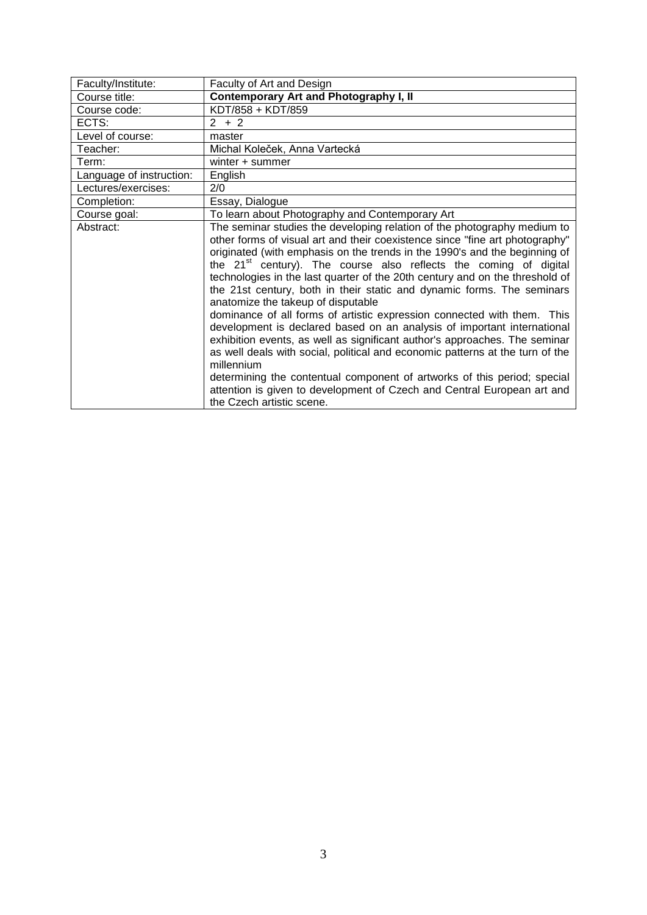<span id="page-2-0"></span>

| Faculty/Institute:       | Faculty of Art and Design                                                                                                                                                                                                                                                                                                                                                                                                                                                                                                                                                                                                                                                                                                                                                                                                                                                                                                                                                                                                                      |
|--------------------------|------------------------------------------------------------------------------------------------------------------------------------------------------------------------------------------------------------------------------------------------------------------------------------------------------------------------------------------------------------------------------------------------------------------------------------------------------------------------------------------------------------------------------------------------------------------------------------------------------------------------------------------------------------------------------------------------------------------------------------------------------------------------------------------------------------------------------------------------------------------------------------------------------------------------------------------------------------------------------------------------------------------------------------------------|
| Course title:            | Contemporary Art and Photography I, II                                                                                                                                                                                                                                                                                                                                                                                                                                                                                                                                                                                                                                                                                                                                                                                                                                                                                                                                                                                                         |
| Course code:             | KDT/858 + KDT/859                                                                                                                                                                                                                                                                                                                                                                                                                                                                                                                                                                                                                                                                                                                                                                                                                                                                                                                                                                                                                              |
| ECTS:                    | $2 + 2$                                                                                                                                                                                                                                                                                                                                                                                                                                                                                                                                                                                                                                                                                                                                                                                                                                                                                                                                                                                                                                        |
| Level of course:         | master                                                                                                                                                                                                                                                                                                                                                                                                                                                                                                                                                                                                                                                                                                                                                                                                                                                                                                                                                                                                                                         |
| Teacher:                 | Michal Koleček, Anna Vartecká                                                                                                                                                                                                                                                                                                                                                                                                                                                                                                                                                                                                                                                                                                                                                                                                                                                                                                                                                                                                                  |
| Term:                    | winter + summer                                                                                                                                                                                                                                                                                                                                                                                                                                                                                                                                                                                                                                                                                                                                                                                                                                                                                                                                                                                                                                |
| Language of instruction: | English                                                                                                                                                                                                                                                                                                                                                                                                                                                                                                                                                                                                                                                                                                                                                                                                                                                                                                                                                                                                                                        |
| Lectures/exercises:      | 2/0                                                                                                                                                                                                                                                                                                                                                                                                                                                                                                                                                                                                                                                                                                                                                                                                                                                                                                                                                                                                                                            |
| Completion:              | Essay, Dialogue                                                                                                                                                                                                                                                                                                                                                                                                                                                                                                                                                                                                                                                                                                                                                                                                                                                                                                                                                                                                                                |
| Course goal:             | To learn about Photography and Contemporary Art                                                                                                                                                                                                                                                                                                                                                                                                                                                                                                                                                                                                                                                                                                                                                                                                                                                                                                                                                                                                |
| Abstract:                | The seminar studies the developing relation of the photography medium to<br>other forms of visual art and their coexistence since "fine art photography"<br>originated (with emphasis on the trends in the 1990's and the beginning of<br>the 21 <sup>st</sup> century). The course also reflects the coming of digital<br>technologies in the last quarter of the 20th century and on the threshold of<br>the 21st century, both in their static and dynamic forms. The seminars<br>anatomize the takeup of disputable<br>dominance of all forms of artistic expression connected with them. This<br>development is declared based on an analysis of important international<br>exhibition events, as well as significant author's approaches. The seminar<br>as well deals with social, political and economic patterns at the turn of the<br>millennium<br>determining the contentual component of artworks of this period; special<br>attention is given to development of Czech and Central European art and<br>the Czech artistic scene. |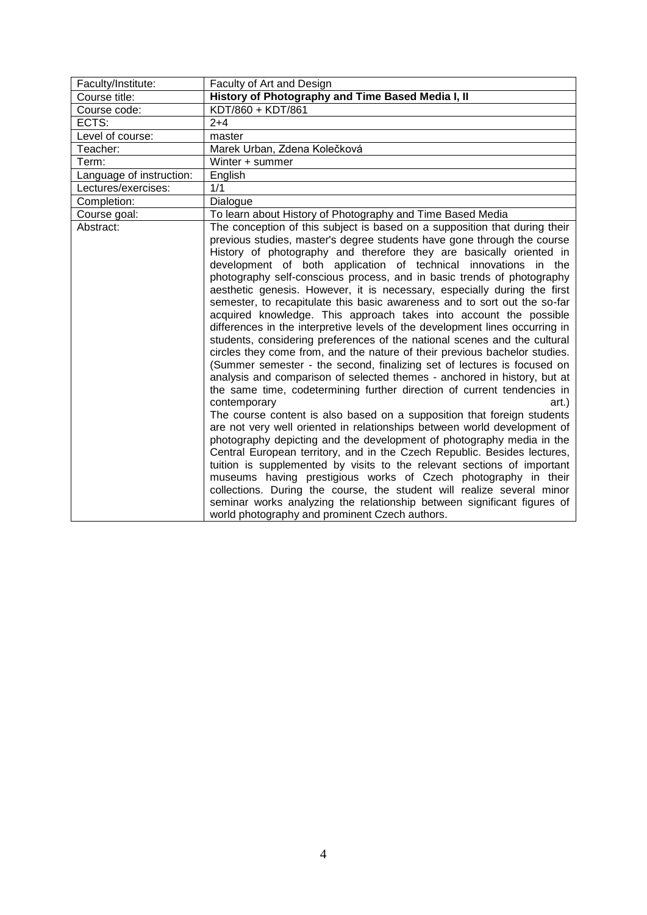<span id="page-3-0"></span>

| Faculty/Institute:       | Faculty of Art and Design                                                                                                                                                                                                                                                                                                                                                                                                                                                                                                                                                                                                                                                                                                                                                                                                                                                                                                                                                                                                                                                                                                                                                                                                                                                                                                                                                                                                                                                                                                                                                                                                                                                                                                                                                     |
|--------------------------|-------------------------------------------------------------------------------------------------------------------------------------------------------------------------------------------------------------------------------------------------------------------------------------------------------------------------------------------------------------------------------------------------------------------------------------------------------------------------------------------------------------------------------------------------------------------------------------------------------------------------------------------------------------------------------------------------------------------------------------------------------------------------------------------------------------------------------------------------------------------------------------------------------------------------------------------------------------------------------------------------------------------------------------------------------------------------------------------------------------------------------------------------------------------------------------------------------------------------------------------------------------------------------------------------------------------------------------------------------------------------------------------------------------------------------------------------------------------------------------------------------------------------------------------------------------------------------------------------------------------------------------------------------------------------------------------------------------------------------------------------------------------------------|
| Course title:            | History of Photography and Time Based Media I, II                                                                                                                                                                                                                                                                                                                                                                                                                                                                                                                                                                                                                                                                                                                                                                                                                                                                                                                                                                                                                                                                                                                                                                                                                                                                                                                                                                                                                                                                                                                                                                                                                                                                                                                             |
| Course code:             | KDT/860 + KDT/861                                                                                                                                                                                                                                                                                                                                                                                                                                                                                                                                                                                                                                                                                                                                                                                                                                                                                                                                                                                                                                                                                                                                                                                                                                                                                                                                                                                                                                                                                                                                                                                                                                                                                                                                                             |
| ECTS:                    | $2+4$                                                                                                                                                                                                                                                                                                                                                                                                                                                                                                                                                                                                                                                                                                                                                                                                                                                                                                                                                                                                                                                                                                                                                                                                                                                                                                                                                                                                                                                                                                                                                                                                                                                                                                                                                                         |
| Level of course:         | master                                                                                                                                                                                                                                                                                                                                                                                                                                                                                                                                                                                                                                                                                                                                                                                                                                                                                                                                                                                                                                                                                                                                                                                                                                                                                                                                                                                                                                                                                                                                                                                                                                                                                                                                                                        |
| Teacher:                 | Marek Urban, Zdena Kolečková                                                                                                                                                                                                                                                                                                                                                                                                                                                                                                                                                                                                                                                                                                                                                                                                                                                                                                                                                                                                                                                                                                                                                                                                                                                                                                                                                                                                                                                                                                                                                                                                                                                                                                                                                  |
| Term:                    | Winter + summer                                                                                                                                                                                                                                                                                                                                                                                                                                                                                                                                                                                                                                                                                                                                                                                                                                                                                                                                                                                                                                                                                                                                                                                                                                                                                                                                                                                                                                                                                                                                                                                                                                                                                                                                                               |
| Language of instruction: | English                                                                                                                                                                                                                                                                                                                                                                                                                                                                                                                                                                                                                                                                                                                                                                                                                                                                                                                                                                                                                                                                                                                                                                                                                                                                                                                                                                                                                                                                                                                                                                                                                                                                                                                                                                       |
| Lectures/exercises:      | 1/1                                                                                                                                                                                                                                                                                                                                                                                                                                                                                                                                                                                                                                                                                                                                                                                                                                                                                                                                                                                                                                                                                                                                                                                                                                                                                                                                                                                                                                                                                                                                                                                                                                                                                                                                                                           |
| Completion:              | Dialogue                                                                                                                                                                                                                                                                                                                                                                                                                                                                                                                                                                                                                                                                                                                                                                                                                                                                                                                                                                                                                                                                                                                                                                                                                                                                                                                                                                                                                                                                                                                                                                                                                                                                                                                                                                      |
| Course goal:             | To learn about History of Photography and Time Based Media                                                                                                                                                                                                                                                                                                                                                                                                                                                                                                                                                                                                                                                                                                                                                                                                                                                                                                                                                                                                                                                                                                                                                                                                                                                                                                                                                                                                                                                                                                                                                                                                                                                                                                                    |
| Abstract:                | The conception of this subject is based on a supposition that during their<br>previous studies, master's degree students have gone through the course<br>History of photography and therefore they are basically oriented in<br>development of both application of technical innovations in the<br>photography self-conscious process, and in basic trends of photography<br>aesthetic genesis. However, it is necessary, especially during the first<br>semester, to recapitulate this basic awareness and to sort out the so-far<br>acquired knowledge. This approach takes into account the possible<br>differences in the interpretive levels of the development lines occurring in<br>students, considering preferences of the national scenes and the cultural<br>circles they come from, and the nature of their previous bachelor studies.<br>(Summer semester - the second, finalizing set of lectures is focused on<br>analysis and comparison of selected themes - anchored in history, but at<br>the same time, codetermining further direction of current tendencies in<br>contemporary<br>art.)<br>The course content is also based on a supposition that foreign students<br>are not very well oriented in relationships between world development of<br>photography depicting and the development of photography media in the<br>Central European territory, and in the Czech Republic. Besides lectures,<br>tuition is supplemented by visits to the relevant sections of important<br>museums having prestigious works of Czech photography in their<br>collections. During the course, the student will realize several minor<br>seminar works analyzing the relationship between significant figures of<br>world photography and prominent Czech authors. |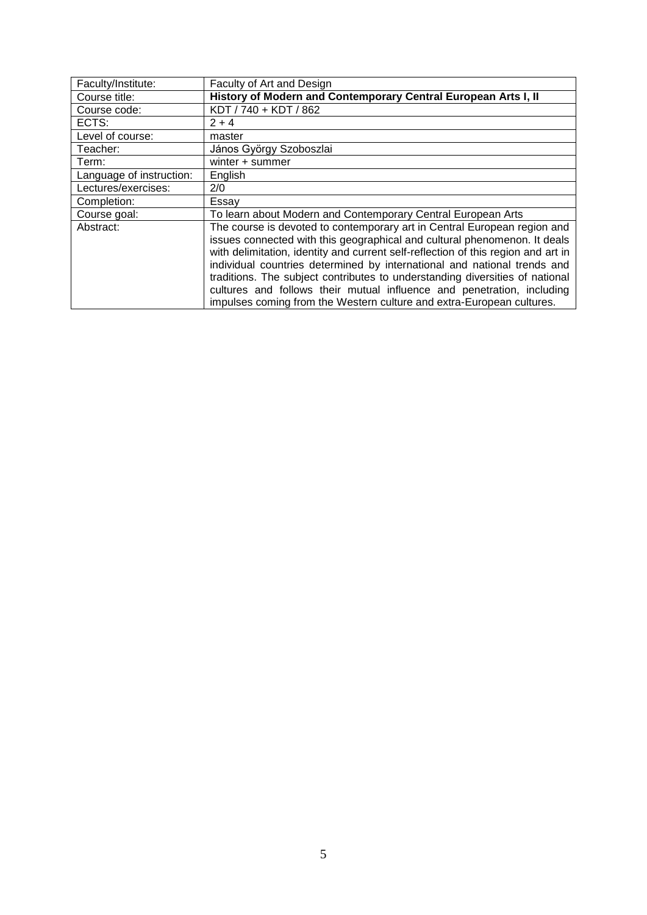<span id="page-4-0"></span>

| Faculty/Institute:       | Faculty of Art and Design                                                                                                                                                                                                                                                                                                                                                                                                                                                                                                                                 |
|--------------------------|-----------------------------------------------------------------------------------------------------------------------------------------------------------------------------------------------------------------------------------------------------------------------------------------------------------------------------------------------------------------------------------------------------------------------------------------------------------------------------------------------------------------------------------------------------------|
| Course title:            | History of Modern and Contemporary Central European Arts I, II                                                                                                                                                                                                                                                                                                                                                                                                                                                                                            |
| Course code:             | KDT / 740 + KDT / 862                                                                                                                                                                                                                                                                                                                                                                                                                                                                                                                                     |
| ECTS:                    | $2 + 4$                                                                                                                                                                                                                                                                                                                                                                                                                                                                                                                                                   |
| Level of course:         | master                                                                                                                                                                                                                                                                                                                                                                                                                                                                                                                                                    |
| Teacher:                 | János György Szoboszlai                                                                                                                                                                                                                                                                                                                                                                                                                                                                                                                                   |
| Term:                    | winter + summer                                                                                                                                                                                                                                                                                                                                                                                                                                                                                                                                           |
| Language of instruction: | English                                                                                                                                                                                                                                                                                                                                                                                                                                                                                                                                                   |
| Lectures/exercises:      | 2/0                                                                                                                                                                                                                                                                                                                                                                                                                                                                                                                                                       |
| Completion:              | Essay                                                                                                                                                                                                                                                                                                                                                                                                                                                                                                                                                     |
| Course goal:             | To learn about Modern and Contemporary Central European Arts                                                                                                                                                                                                                                                                                                                                                                                                                                                                                              |
| Abstract:                | The course is devoted to contemporary art in Central European region and<br>issues connected with this geographical and cultural phenomenon. It deals<br>with delimitation, identity and current self-reflection of this region and art in<br>individual countries determined by international and national trends and<br>traditions. The subject contributes to understanding diversities of national<br>cultures and follows their mutual influence and penetration, including<br>impulses coming from the Western culture and extra-European cultures. |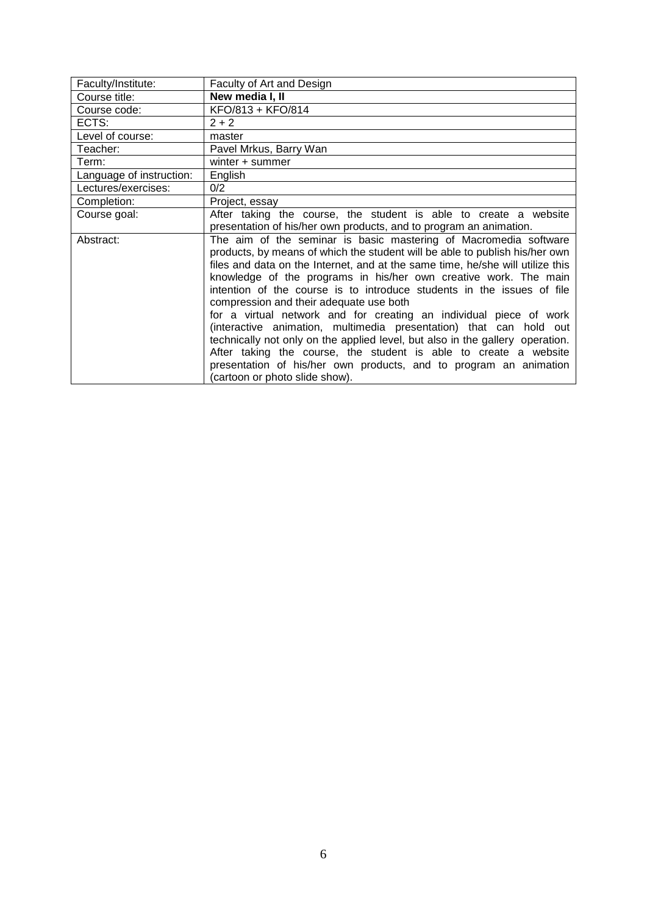<span id="page-5-0"></span>

| Faculty/Institute:       | Faculty of Art and Design                                                      |
|--------------------------|--------------------------------------------------------------------------------|
| Course title:            | New media I, II                                                                |
| Course code:             | KFO/813 + KFO/814                                                              |
| ECTS:                    | $2 + 2$                                                                        |
| Level of course:         | master                                                                         |
| Teacher:                 | Pavel Mrkus, Barry Wan                                                         |
| Term:                    | winter + summer                                                                |
| Language of instruction: | English                                                                        |
| Lectures/exercises:      | 0/2                                                                            |
| Completion:              | Project, essay                                                                 |
| Course goal:             | After taking the course, the student is able to create a website               |
|                          | presentation of his/her own products, and to program an animation.             |
| Abstract:                | The aim of the seminar is basic mastering of Macromedia software               |
|                          | products, by means of which the student will be able to publish his/her own    |
|                          | files and data on the Internet, and at the same time, he/she will utilize this |
|                          | knowledge of the programs in his/her own creative work. The main               |
|                          | intention of the course is to introduce students in the issues of file         |
|                          | compression and their adequate use both                                        |
|                          | for a virtual network and for creating an individual piece of work             |
|                          | (interactive animation, multimedia presentation) that can hold out             |
|                          | technically not only on the applied level, but also in the gallery operation.  |
|                          | After taking the course, the student is able to create a website               |
|                          | presentation of his/her own products, and to program an animation              |
|                          | (cartoon or photo slide show).                                                 |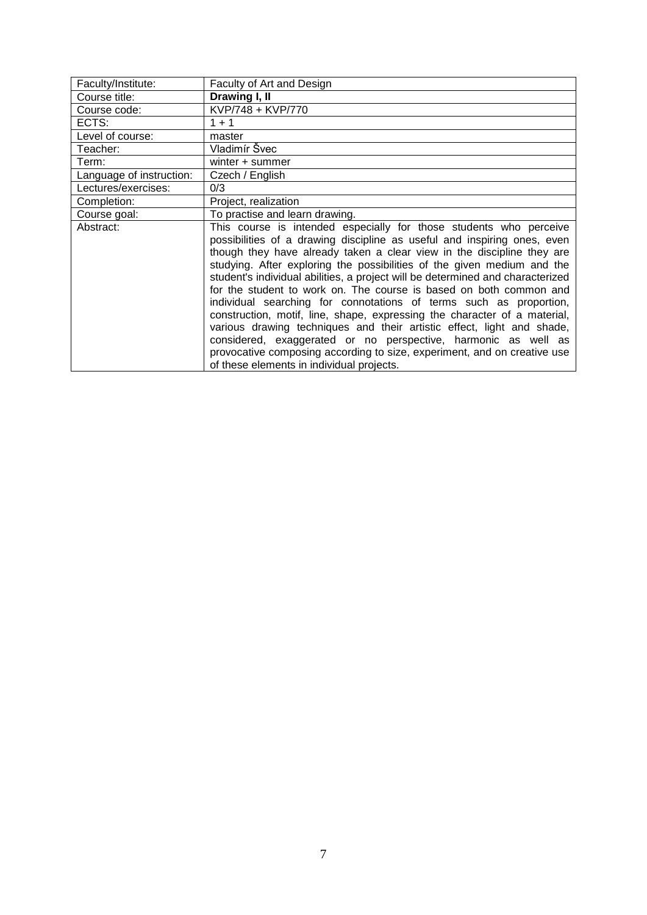<span id="page-6-0"></span>

| Faculty/Institute:       | Faculty of Art and Design                                                                                                                                                                                                                                                                                                                                                                                                                                                                                                                                                                                                                                                                                                                                                                                                                                                           |
|--------------------------|-------------------------------------------------------------------------------------------------------------------------------------------------------------------------------------------------------------------------------------------------------------------------------------------------------------------------------------------------------------------------------------------------------------------------------------------------------------------------------------------------------------------------------------------------------------------------------------------------------------------------------------------------------------------------------------------------------------------------------------------------------------------------------------------------------------------------------------------------------------------------------------|
| Course title:            | Drawing I, II                                                                                                                                                                                                                                                                                                                                                                                                                                                                                                                                                                                                                                                                                                                                                                                                                                                                       |
| Course code:             | KVP/748 + KVP/770                                                                                                                                                                                                                                                                                                                                                                                                                                                                                                                                                                                                                                                                                                                                                                                                                                                                   |
| ECTS:                    | $1 + 1$                                                                                                                                                                                                                                                                                                                                                                                                                                                                                                                                                                                                                                                                                                                                                                                                                                                                             |
| Level of course:         | master                                                                                                                                                                                                                                                                                                                                                                                                                                                                                                                                                                                                                                                                                                                                                                                                                                                                              |
| Teacher:                 | Vladimír Švec                                                                                                                                                                                                                                                                                                                                                                                                                                                                                                                                                                                                                                                                                                                                                                                                                                                                       |
| Term:                    | winter + summer                                                                                                                                                                                                                                                                                                                                                                                                                                                                                                                                                                                                                                                                                                                                                                                                                                                                     |
| Language of instruction: | Czech / English                                                                                                                                                                                                                                                                                                                                                                                                                                                                                                                                                                                                                                                                                                                                                                                                                                                                     |
| Lectures/exercises:      | 0/3                                                                                                                                                                                                                                                                                                                                                                                                                                                                                                                                                                                                                                                                                                                                                                                                                                                                                 |
| Completion:              | Project, realization                                                                                                                                                                                                                                                                                                                                                                                                                                                                                                                                                                                                                                                                                                                                                                                                                                                                |
| Course goal:             | To practise and learn drawing.                                                                                                                                                                                                                                                                                                                                                                                                                                                                                                                                                                                                                                                                                                                                                                                                                                                      |
| Abstract:                | This course is intended especially for those students who perceive<br>possibilities of a drawing discipline as useful and inspiring ones, even<br>though they have already taken a clear view in the discipline they are<br>studying. After exploring the possibilities of the given medium and the<br>student's individual abilities, a project will be determined and characterized<br>for the student to work on. The course is based on both common and<br>individual searching for connotations of terms such as proportion,<br>construction, motif, line, shape, expressing the character of a material,<br>various drawing techniques and their artistic effect, light and shade,<br>considered, exaggerated or no perspective, harmonic as well as<br>provocative composing according to size, experiment, and on creative use<br>of these elements in individual projects. |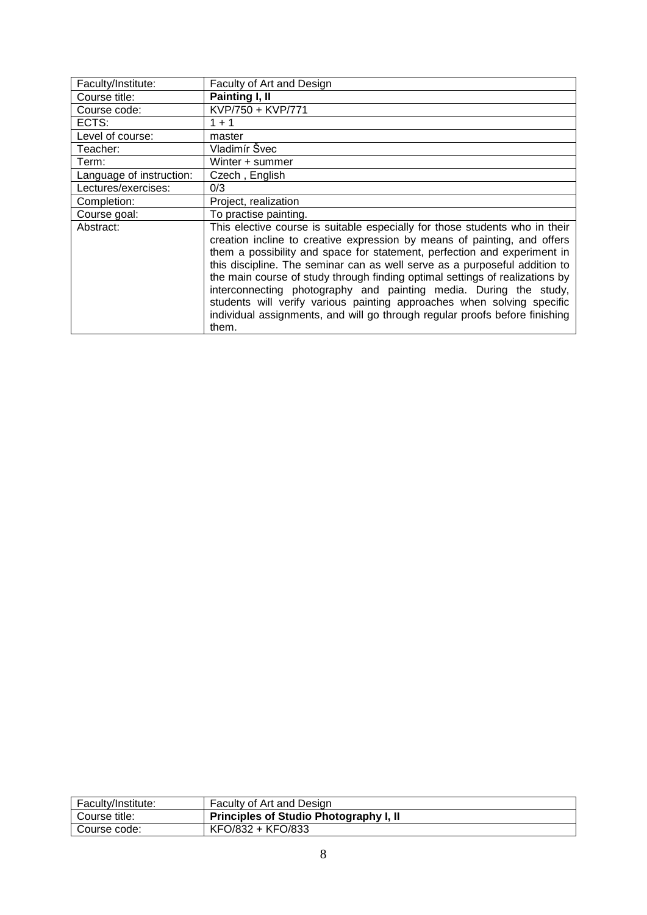<span id="page-7-0"></span>

| Faculty/Institute:       | Faculty of Art and Design                                                                                                                                                                                                                                                                                                                                                                                                                                                                                                                                                                                                                |
|--------------------------|------------------------------------------------------------------------------------------------------------------------------------------------------------------------------------------------------------------------------------------------------------------------------------------------------------------------------------------------------------------------------------------------------------------------------------------------------------------------------------------------------------------------------------------------------------------------------------------------------------------------------------------|
| Course title:            | Painting I, II                                                                                                                                                                                                                                                                                                                                                                                                                                                                                                                                                                                                                           |
| Course code:             | KVP/750 + KVP/771                                                                                                                                                                                                                                                                                                                                                                                                                                                                                                                                                                                                                        |
| ECTS:                    | $1 + 1$                                                                                                                                                                                                                                                                                                                                                                                                                                                                                                                                                                                                                                  |
| Level of course:         | master                                                                                                                                                                                                                                                                                                                                                                                                                                                                                                                                                                                                                                   |
| Teacher:                 | Vladimír Švec                                                                                                                                                                                                                                                                                                                                                                                                                                                                                                                                                                                                                            |
| Term:                    | Winter + summer                                                                                                                                                                                                                                                                                                                                                                                                                                                                                                                                                                                                                          |
| Language of instruction: | Czech, English                                                                                                                                                                                                                                                                                                                                                                                                                                                                                                                                                                                                                           |
| Lectures/exercises:      | 0/3                                                                                                                                                                                                                                                                                                                                                                                                                                                                                                                                                                                                                                      |
| Completion:              | Project, realization                                                                                                                                                                                                                                                                                                                                                                                                                                                                                                                                                                                                                     |
| Course goal:             | To practise painting.                                                                                                                                                                                                                                                                                                                                                                                                                                                                                                                                                                                                                    |
| Abstract:                | This elective course is suitable especially for those students who in their<br>creation incline to creative expression by means of painting, and offers<br>them a possibility and space for statement, perfection and experiment in<br>this discipline. The seminar can as well serve as a purposeful addition to<br>the main course of study through finding optimal settings of realizations by<br>interconnecting photography and painting media. During the study,<br>students will verify various painting approaches when solving specific<br>individual assignments, and will go through regular proofs before finishing<br>them. |

<span id="page-7-1"></span>

| Faculty/Institute: | Faculty of Art and Design                     |
|--------------------|-----------------------------------------------|
| Course title:      | <b>Principles of Studio Photography I, II</b> |
| Course code:       | KFO/832 + KFO/833                             |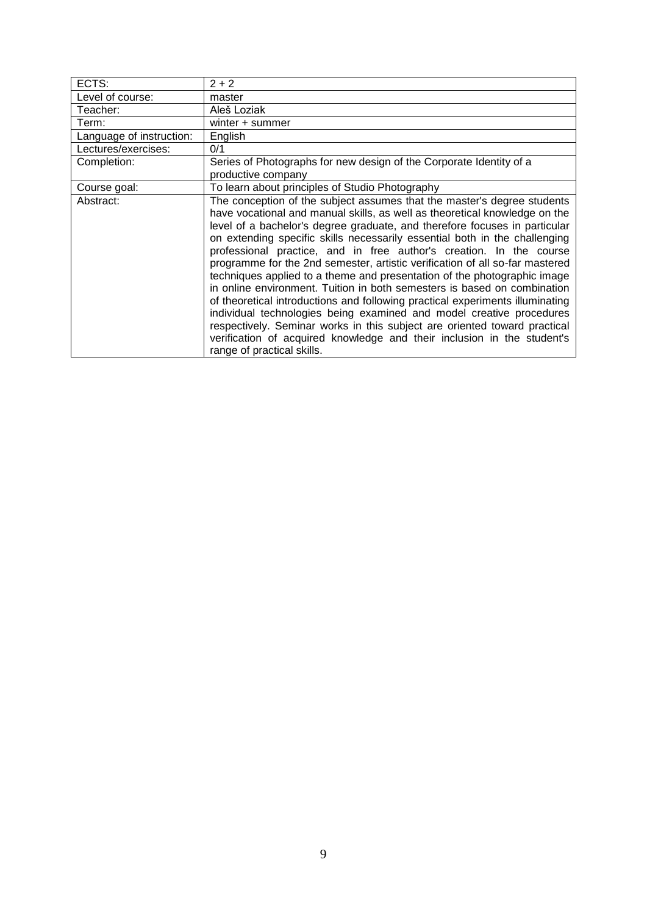| ECTS:                    | $2 + 2$                                                                                                                                                                                                                                                                                                                                                                                                                                                                                                                                                                                                                                                                                                                                                                                                                                                                                                                                                                         |
|--------------------------|---------------------------------------------------------------------------------------------------------------------------------------------------------------------------------------------------------------------------------------------------------------------------------------------------------------------------------------------------------------------------------------------------------------------------------------------------------------------------------------------------------------------------------------------------------------------------------------------------------------------------------------------------------------------------------------------------------------------------------------------------------------------------------------------------------------------------------------------------------------------------------------------------------------------------------------------------------------------------------|
| Level of course:         | master                                                                                                                                                                                                                                                                                                                                                                                                                                                                                                                                                                                                                                                                                                                                                                                                                                                                                                                                                                          |
| Teacher:                 | Aleš Loziak                                                                                                                                                                                                                                                                                                                                                                                                                                                                                                                                                                                                                                                                                                                                                                                                                                                                                                                                                                     |
| Term:                    | winter + summer                                                                                                                                                                                                                                                                                                                                                                                                                                                                                                                                                                                                                                                                                                                                                                                                                                                                                                                                                                 |
| Language of instruction: | English                                                                                                                                                                                                                                                                                                                                                                                                                                                                                                                                                                                                                                                                                                                                                                                                                                                                                                                                                                         |
| Lectures/exercises:      | 0/1                                                                                                                                                                                                                                                                                                                                                                                                                                                                                                                                                                                                                                                                                                                                                                                                                                                                                                                                                                             |
| Completion:              | Series of Photographs for new design of the Corporate Identity of a<br>productive company                                                                                                                                                                                                                                                                                                                                                                                                                                                                                                                                                                                                                                                                                                                                                                                                                                                                                       |
| Course goal:             | To learn about principles of Studio Photography                                                                                                                                                                                                                                                                                                                                                                                                                                                                                                                                                                                                                                                                                                                                                                                                                                                                                                                                 |
| Abstract:                | The conception of the subject assumes that the master's degree students<br>have vocational and manual skills, as well as theoretical knowledge on the<br>level of a bachelor's degree graduate, and therefore focuses in particular<br>on extending specific skills necessarily essential both in the challenging<br>professional practice, and in free author's creation. In the course<br>programme for the 2nd semester, artistic verification of all so-far mastered<br>techniques applied to a theme and presentation of the photographic image<br>in online environment. Tuition in both semesters is based on combination<br>of theoretical introductions and following practical experiments illuminating<br>individual technologies being examined and model creative procedures<br>respectively. Seminar works in this subject are oriented toward practical<br>verification of acquired knowledge and their inclusion in the student's<br>range of practical skills. |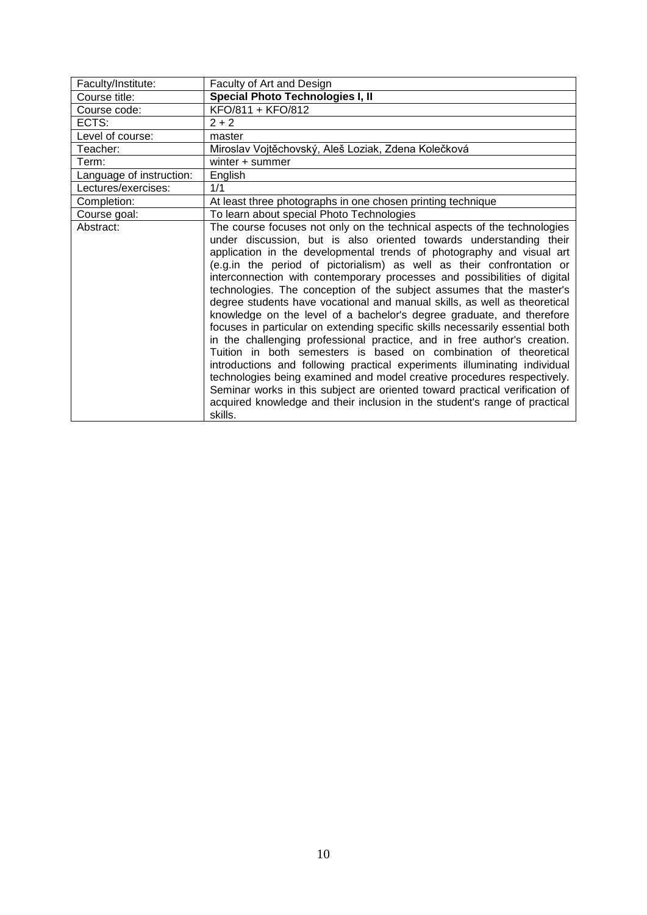<span id="page-9-0"></span>

| Faculty/Institute:       | Faculty of Art and Design                                                                                                                                                                                                                                                                                                                                                                                                                                                                                                                                                                                                                                                                                                                                                                                                                                                                                                                                                                                                                                                                                                                                                    |
|--------------------------|------------------------------------------------------------------------------------------------------------------------------------------------------------------------------------------------------------------------------------------------------------------------------------------------------------------------------------------------------------------------------------------------------------------------------------------------------------------------------------------------------------------------------------------------------------------------------------------------------------------------------------------------------------------------------------------------------------------------------------------------------------------------------------------------------------------------------------------------------------------------------------------------------------------------------------------------------------------------------------------------------------------------------------------------------------------------------------------------------------------------------------------------------------------------------|
| Course title:            | Special Photo Technologies I, II                                                                                                                                                                                                                                                                                                                                                                                                                                                                                                                                                                                                                                                                                                                                                                                                                                                                                                                                                                                                                                                                                                                                             |
| Course code:             | KFO/811 + KFO/812                                                                                                                                                                                                                                                                                                                                                                                                                                                                                                                                                                                                                                                                                                                                                                                                                                                                                                                                                                                                                                                                                                                                                            |
| ECTS:                    | $2 + 2$                                                                                                                                                                                                                                                                                                                                                                                                                                                                                                                                                                                                                                                                                                                                                                                                                                                                                                                                                                                                                                                                                                                                                                      |
| Level of course:         | master                                                                                                                                                                                                                                                                                                                                                                                                                                                                                                                                                                                                                                                                                                                                                                                                                                                                                                                                                                                                                                                                                                                                                                       |
| Teacher:                 | Miroslav Vojtěchovský, Aleš Loziak, Zdena Kolečková                                                                                                                                                                                                                                                                                                                                                                                                                                                                                                                                                                                                                                                                                                                                                                                                                                                                                                                                                                                                                                                                                                                          |
| Term:                    | winter + summer                                                                                                                                                                                                                                                                                                                                                                                                                                                                                                                                                                                                                                                                                                                                                                                                                                                                                                                                                                                                                                                                                                                                                              |
| Language of instruction: | English                                                                                                                                                                                                                                                                                                                                                                                                                                                                                                                                                                                                                                                                                                                                                                                                                                                                                                                                                                                                                                                                                                                                                                      |
| Lectures/exercises:      | 1/1                                                                                                                                                                                                                                                                                                                                                                                                                                                                                                                                                                                                                                                                                                                                                                                                                                                                                                                                                                                                                                                                                                                                                                          |
| Completion:              | At least three photographs in one chosen printing technique                                                                                                                                                                                                                                                                                                                                                                                                                                                                                                                                                                                                                                                                                                                                                                                                                                                                                                                                                                                                                                                                                                                  |
| Course goal:             | To learn about special Photo Technologies                                                                                                                                                                                                                                                                                                                                                                                                                                                                                                                                                                                                                                                                                                                                                                                                                                                                                                                                                                                                                                                                                                                                    |
| Abstract:                | The course focuses not only on the technical aspects of the technologies<br>under discussion, but is also oriented towards understanding their<br>application in the developmental trends of photography and visual art<br>(e.g.in the period of pictorialism) as well as their confrontation or<br>interconnection with contemporary processes and possibilities of digital<br>technologies. The conception of the subject assumes that the master's<br>degree students have vocational and manual skills, as well as theoretical<br>knowledge on the level of a bachelor's degree graduate, and therefore<br>focuses in particular on extending specific skills necessarily essential both<br>in the challenging professional practice, and in free author's creation.<br>Tuition in both semesters is based on combination of theoretical<br>introductions and following practical experiments illuminating individual<br>technologies being examined and model creative procedures respectively.<br>Seminar works in this subject are oriented toward practical verification of<br>acquired knowledge and their inclusion in the student's range of practical<br>skills. |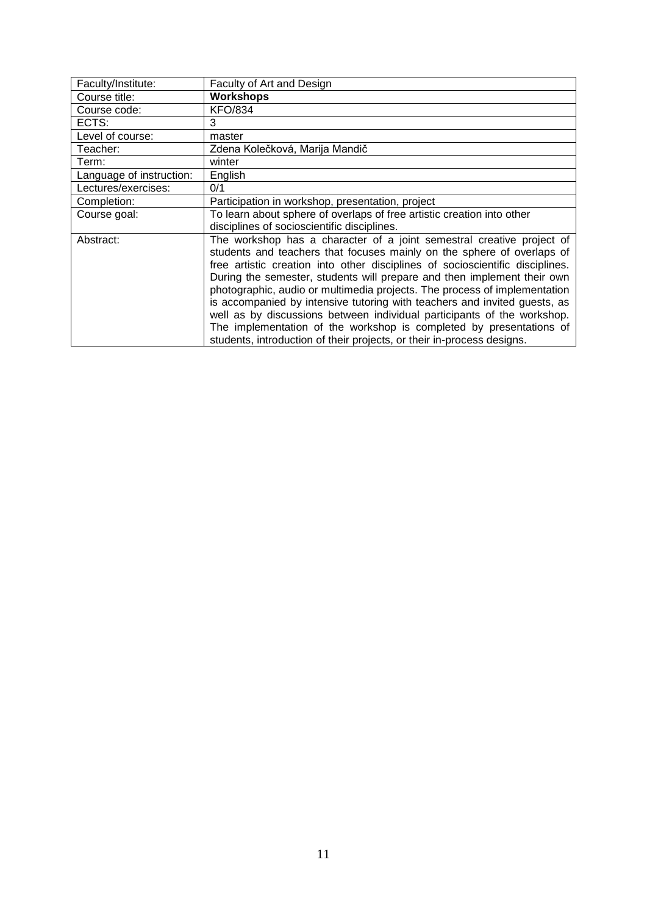<span id="page-10-0"></span>

| Faculty/Institute:       | Faculty of Art and Design                                                     |
|--------------------------|-------------------------------------------------------------------------------|
| Course title:            | <b>Workshops</b>                                                              |
| Course code:             | <b>KFO/834</b>                                                                |
| ECTS:                    | 3                                                                             |
| Level of course:         | master                                                                        |
| Teacher:                 | Zdena Kolečková, Marija Mandič                                                |
| Term:                    | winter                                                                        |
| Language of instruction: | English                                                                       |
| Lectures/exercises:      | 0/1                                                                           |
| Completion:              | Participation in workshop, presentation, project                              |
| Course goal:             | To learn about sphere of overlaps of free artistic creation into other        |
|                          | disciplines of socioscientific disciplines.                                   |
| Abstract:                | The workshop has a character of a joint semestral creative project of         |
|                          | students and teachers that focuses mainly on the sphere of overlaps of        |
|                          | free artistic creation into other disciplines of socioscientific disciplines. |
|                          | During the semester, students will prepare and then implement their own       |
|                          | photographic, audio or multimedia projects. The process of implementation     |
|                          | is accompanied by intensive tutoring with teachers and invited guests, as     |
|                          | well as by discussions between individual participants of the workshop.       |
|                          | The implementation of the workshop is completed by presentations of           |
|                          | students, introduction of their projects, or their in-process designs.        |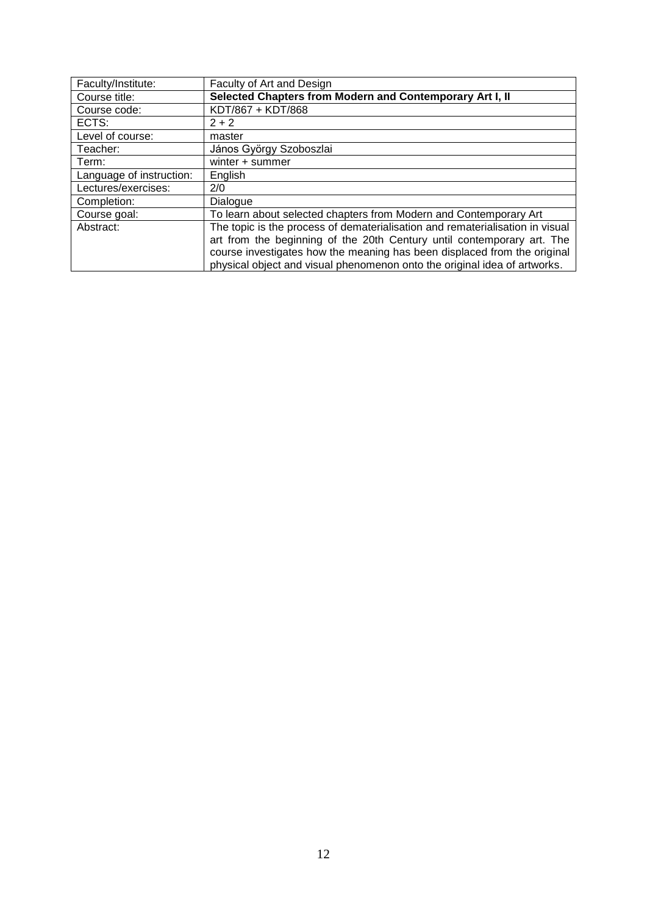<span id="page-11-0"></span>

| Faculty/Institute:       | Faculty of Art and Design                                                     |
|--------------------------|-------------------------------------------------------------------------------|
| Course title:            | Selected Chapters from Modern and Contemporary Art I, II                      |
| Course code:             | KDT/867 + KDT/868                                                             |
| ECTS:                    | $2 + 2$                                                                       |
| Level of course:         | master                                                                        |
| Teacher:                 | János György Szoboszlai                                                       |
| Term:                    | winter + summer                                                               |
| Language of instruction: | English                                                                       |
| Lectures/exercises:      | 2/0                                                                           |
| Completion:              | Dialogue                                                                      |
| Course goal:             | To learn about selected chapters from Modern and Contemporary Art             |
| Abstract:                | The topic is the process of dematerialisation and rematerialisation in visual |
|                          | art from the beginning of the 20th Century until contemporary art. The        |
|                          | course investigates how the meaning has been displaced from the original      |
|                          | physical object and visual phenomenon onto the original idea of artworks.     |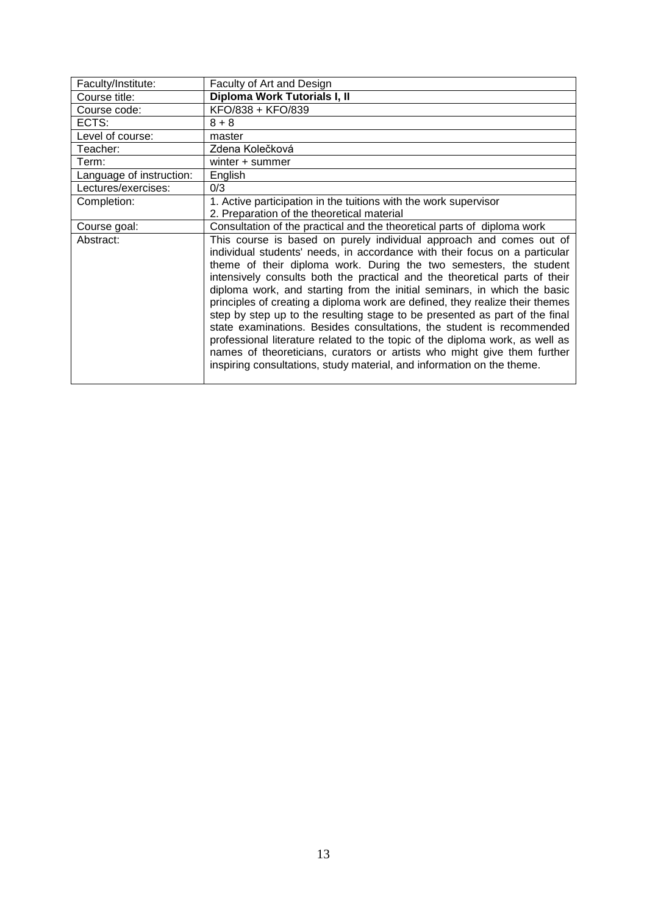<span id="page-12-0"></span>

| Faculty/Institute:       | Faculty of Art and Design                                                                                                                                                                                                                                                                                                                                                                                                                                                                                                                                                                                                                                                                                                                                                                                                                                      |
|--------------------------|----------------------------------------------------------------------------------------------------------------------------------------------------------------------------------------------------------------------------------------------------------------------------------------------------------------------------------------------------------------------------------------------------------------------------------------------------------------------------------------------------------------------------------------------------------------------------------------------------------------------------------------------------------------------------------------------------------------------------------------------------------------------------------------------------------------------------------------------------------------|
| Course title:            | Diploma Work Tutorials I, II                                                                                                                                                                                                                                                                                                                                                                                                                                                                                                                                                                                                                                                                                                                                                                                                                                   |
| Course code:             | KFO/838 + KFO/839                                                                                                                                                                                                                                                                                                                                                                                                                                                                                                                                                                                                                                                                                                                                                                                                                                              |
| ECTS:                    | $8 + 8$                                                                                                                                                                                                                                                                                                                                                                                                                                                                                                                                                                                                                                                                                                                                                                                                                                                        |
| Level of course:         | master                                                                                                                                                                                                                                                                                                                                                                                                                                                                                                                                                                                                                                                                                                                                                                                                                                                         |
| Teacher:                 | Zdena Kolečková                                                                                                                                                                                                                                                                                                                                                                                                                                                                                                                                                                                                                                                                                                                                                                                                                                                |
| Term:                    | winter + summer                                                                                                                                                                                                                                                                                                                                                                                                                                                                                                                                                                                                                                                                                                                                                                                                                                                |
| Language of instruction: | English                                                                                                                                                                                                                                                                                                                                                                                                                                                                                                                                                                                                                                                                                                                                                                                                                                                        |
| Lectures/exercises:      | 0/3                                                                                                                                                                                                                                                                                                                                                                                                                                                                                                                                                                                                                                                                                                                                                                                                                                                            |
| Completion:              | 1. Active participation in the tuitions with the work supervisor                                                                                                                                                                                                                                                                                                                                                                                                                                                                                                                                                                                                                                                                                                                                                                                               |
|                          | 2. Preparation of the theoretical material                                                                                                                                                                                                                                                                                                                                                                                                                                                                                                                                                                                                                                                                                                                                                                                                                     |
| Course goal:             | Consultation of the practical and the theoretical parts of diploma work                                                                                                                                                                                                                                                                                                                                                                                                                                                                                                                                                                                                                                                                                                                                                                                        |
| Abstract:                | This course is based on purely individual approach and comes out of<br>individual students' needs, in accordance with their focus on a particular<br>theme of their diploma work. During the two semesters, the student<br>intensively consults both the practical and the theoretical parts of their<br>diploma work, and starting from the initial seminars, in which the basic<br>principles of creating a diploma work are defined, they realize their themes<br>step by step up to the resulting stage to be presented as part of the final<br>state examinations. Besides consultations, the student is recommended<br>professional literature related to the topic of the diploma work, as well as<br>names of theoreticians, curators or artists who might give them further<br>inspiring consultations, study material, and information on the theme. |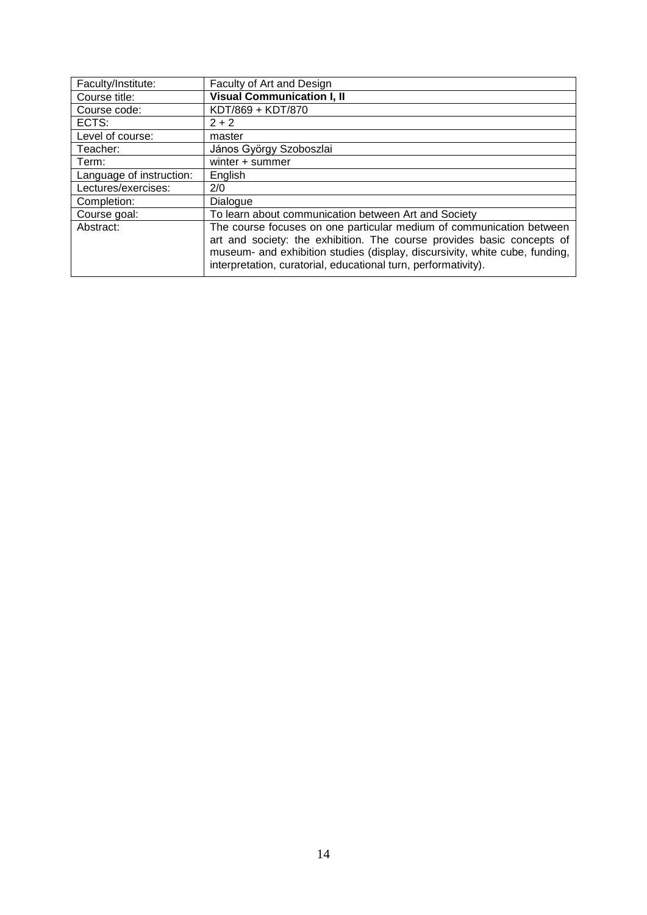<span id="page-13-0"></span>

| Faculty/Institute:       | Faculty of Art and Design                                                                                                                                                                                               |
|--------------------------|-------------------------------------------------------------------------------------------------------------------------------------------------------------------------------------------------------------------------|
| Course title:            | <b>Visual Communication I, II</b>                                                                                                                                                                                       |
| Course code:             | KDT/869 + KDT/870                                                                                                                                                                                                       |
| ECTS:                    | $2 + 2$                                                                                                                                                                                                                 |
| Level of course:         | master                                                                                                                                                                                                                  |
| Teacher:                 | János György Szoboszlai                                                                                                                                                                                                 |
| Term:                    | winter + summer                                                                                                                                                                                                         |
| Language of instruction: | English                                                                                                                                                                                                                 |
| Lectures/exercises:      | 2/0                                                                                                                                                                                                                     |
| Completion:              | Dialogue                                                                                                                                                                                                                |
| Course goal:             | To learn about communication between Art and Society                                                                                                                                                                    |
| Abstract:                | The course focuses on one particular medium of communication between                                                                                                                                                    |
|                          | art and society: the exhibition. The course provides basic concepts of<br>museum- and exhibition studies (display, discursivity, white cube, funding,<br>interpretation, curatorial, educational turn, performativity). |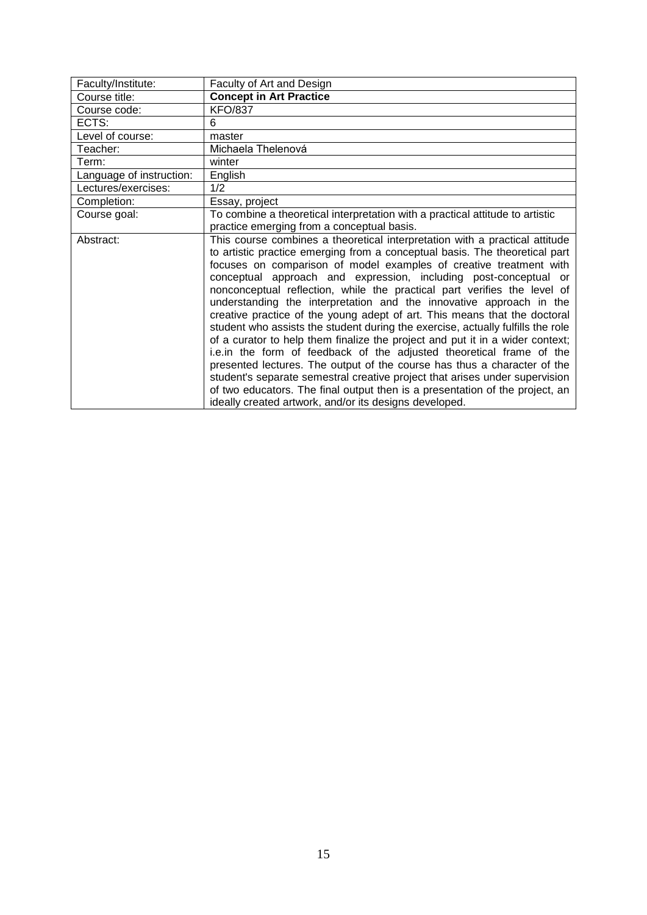<span id="page-14-0"></span>

| Faculty/Institute:       | Faculty of Art and Design                                                                                                                                                                                                                                                                                                                                                                                                                                                                                                            |
|--------------------------|--------------------------------------------------------------------------------------------------------------------------------------------------------------------------------------------------------------------------------------------------------------------------------------------------------------------------------------------------------------------------------------------------------------------------------------------------------------------------------------------------------------------------------------|
| Course title:            | <b>Concept in Art Practice</b>                                                                                                                                                                                                                                                                                                                                                                                                                                                                                                       |
| Course code:             | <b>KFO/837</b>                                                                                                                                                                                                                                                                                                                                                                                                                                                                                                                       |
| ECTS:                    | 6                                                                                                                                                                                                                                                                                                                                                                                                                                                                                                                                    |
| Level of course:         | master                                                                                                                                                                                                                                                                                                                                                                                                                                                                                                                               |
| Teacher:                 | Michaela Thelenová                                                                                                                                                                                                                                                                                                                                                                                                                                                                                                                   |
| Term:                    | winter                                                                                                                                                                                                                                                                                                                                                                                                                                                                                                                               |
| Language of instruction: | English                                                                                                                                                                                                                                                                                                                                                                                                                                                                                                                              |
| Lectures/exercises:      | 1/2                                                                                                                                                                                                                                                                                                                                                                                                                                                                                                                                  |
| Completion:              | Essay, project                                                                                                                                                                                                                                                                                                                                                                                                                                                                                                                       |
| Course goal:             | To combine a theoretical interpretation with a practical attitude to artistic                                                                                                                                                                                                                                                                                                                                                                                                                                                        |
|                          | practice emerging from a conceptual basis.                                                                                                                                                                                                                                                                                                                                                                                                                                                                                           |
| Abstract:                | This course combines a theoretical interpretation with a practical attitude<br>to artistic practice emerging from a conceptual basis. The theoretical part<br>focuses on comparison of model examples of creative treatment with<br>conceptual approach and expression, including post-conceptual or<br>nonconceptual reflection, while the practical part verifies the level of<br>understanding the interpretation and the innovative approach in the<br>creative practice of the young adept of art. This means that the doctoral |
|                          | student who assists the student during the exercise, actually fulfills the role<br>of a curator to help them finalize the project and put it in a wider context;<br>i.e.in the form of feedback of the adjusted theoretical frame of the<br>presented lectures. The output of the course has thus a character of the<br>student's separate semestral creative project that arises under supervision<br>of two educators. The final output then is a presentation of the project, an                                                  |
|                          | ideally created artwork, and/or its designs developed.                                                                                                                                                                                                                                                                                                                                                                                                                                                                               |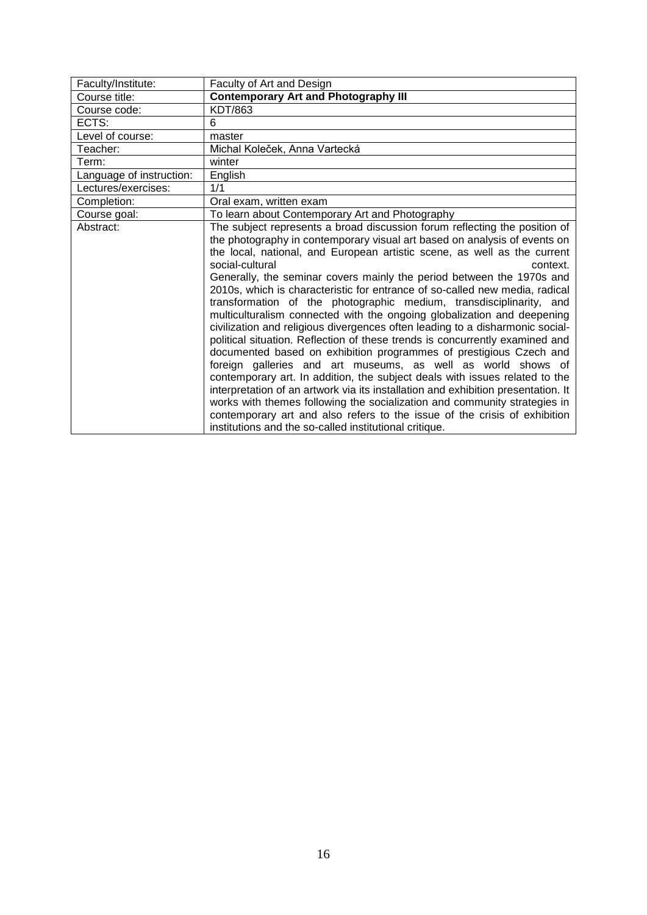<span id="page-15-0"></span>

| Faculty/Institute:       | Faculty of Art and Design                                                                                                                                                                                                                                                                                                                                                                                                                                                                                                                                                                                                                                                                                                                                                                                                                                                                                                                                                                                                                                                                                                                                                                                                                                                   |
|--------------------------|-----------------------------------------------------------------------------------------------------------------------------------------------------------------------------------------------------------------------------------------------------------------------------------------------------------------------------------------------------------------------------------------------------------------------------------------------------------------------------------------------------------------------------------------------------------------------------------------------------------------------------------------------------------------------------------------------------------------------------------------------------------------------------------------------------------------------------------------------------------------------------------------------------------------------------------------------------------------------------------------------------------------------------------------------------------------------------------------------------------------------------------------------------------------------------------------------------------------------------------------------------------------------------|
| Course title:            | <b>Contemporary Art and Photography III</b>                                                                                                                                                                                                                                                                                                                                                                                                                                                                                                                                                                                                                                                                                                                                                                                                                                                                                                                                                                                                                                                                                                                                                                                                                                 |
| Course code:             | KDT/863                                                                                                                                                                                                                                                                                                                                                                                                                                                                                                                                                                                                                                                                                                                                                                                                                                                                                                                                                                                                                                                                                                                                                                                                                                                                     |
| ECTS:                    | 6                                                                                                                                                                                                                                                                                                                                                                                                                                                                                                                                                                                                                                                                                                                                                                                                                                                                                                                                                                                                                                                                                                                                                                                                                                                                           |
| Level of course:         | master                                                                                                                                                                                                                                                                                                                                                                                                                                                                                                                                                                                                                                                                                                                                                                                                                                                                                                                                                                                                                                                                                                                                                                                                                                                                      |
| Teacher:                 | Michal Koleček, Anna Vartecká                                                                                                                                                                                                                                                                                                                                                                                                                                                                                                                                                                                                                                                                                                                                                                                                                                                                                                                                                                                                                                                                                                                                                                                                                                               |
| Term:                    | winter                                                                                                                                                                                                                                                                                                                                                                                                                                                                                                                                                                                                                                                                                                                                                                                                                                                                                                                                                                                                                                                                                                                                                                                                                                                                      |
| Language of instruction: | English                                                                                                                                                                                                                                                                                                                                                                                                                                                                                                                                                                                                                                                                                                                                                                                                                                                                                                                                                                                                                                                                                                                                                                                                                                                                     |
| Lectures/exercises:      | 1/1                                                                                                                                                                                                                                                                                                                                                                                                                                                                                                                                                                                                                                                                                                                                                                                                                                                                                                                                                                                                                                                                                                                                                                                                                                                                         |
| Completion:              | Oral exam, written exam                                                                                                                                                                                                                                                                                                                                                                                                                                                                                                                                                                                                                                                                                                                                                                                                                                                                                                                                                                                                                                                                                                                                                                                                                                                     |
| Course goal:             | To learn about Contemporary Art and Photography                                                                                                                                                                                                                                                                                                                                                                                                                                                                                                                                                                                                                                                                                                                                                                                                                                                                                                                                                                                                                                                                                                                                                                                                                             |
| Abstract:                | The subject represents a broad discussion forum reflecting the position of<br>the photography in contemporary visual art based on analysis of events on<br>the local, national, and European artistic scene, as well as the current<br>social-cultural<br>context.<br>Generally, the seminar covers mainly the period between the 1970s and<br>2010s, which is characteristic for entrance of so-called new media, radical<br>transformation of the photographic medium, transdisciplinarity, and<br>multiculturalism connected with the ongoing globalization and deepening<br>civilization and religious divergences often leading to a disharmonic social-<br>political situation. Reflection of these trends is concurrently examined and<br>documented based on exhibition programmes of prestigious Czech and<br>foreign galleries and art museums, as well as world shows of<br>contemporary art. In addition, the subject deals with issues related to the<br>interpretation of an artwork via its installation and exhibition presentation. It<br>works with themes following the socialization and community strategies in<br>contemporary art and also refers to the issue of the crisis of exhibition<br>institutions and the so-called institutional critique. |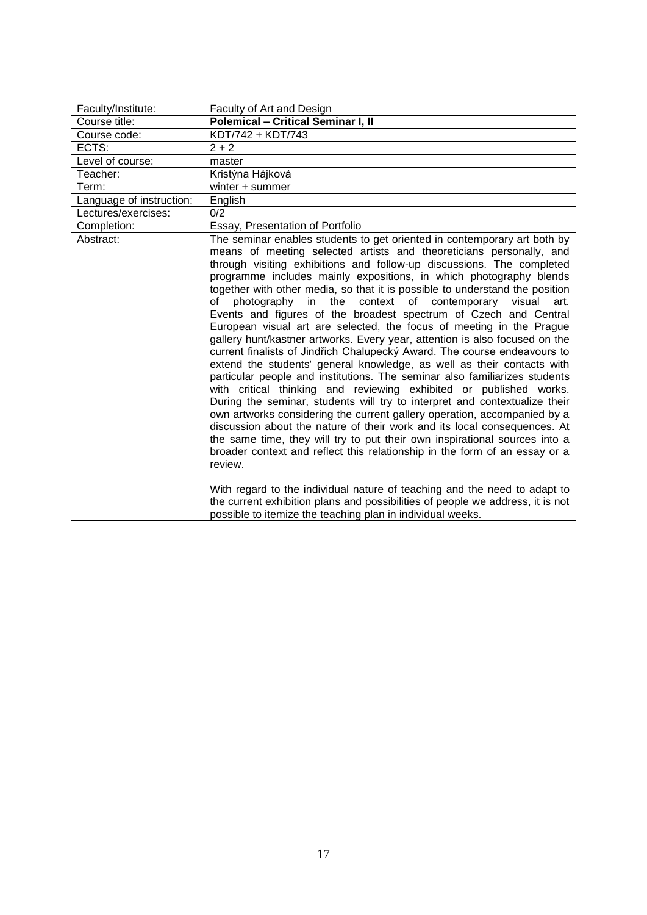<span id="page-16-0"></span>

| Faculty/Institute:       | Faculty of Art and Design                                                                                                                                                                                                                                                                                                                                                                                                                                                                                                                                                                                                                                                                                                                                                                                                                                                                                                                                                                                                                                                                                                                                                                                                                                                                                                                                                                                                                                                                                                                                                                                                              |
|--------------------------|----------------------------------------------------------------------------------------------------------------------------------------------------------------------------------------------------------------------------------------------------------------------------------------------------------------------------------------------------------------------------------------------------------------------------------------------------------------------------------------------------------------------------------------------------------------------------------------------------------------------------------------------------------------------------------------------------------------------------------------------------------------------------------------------------------------------------------------------------------------------------------------------------------------------------------------------------------------------------------------------------------------------------------------------------------------------------------------------------------------------------------------------------------------------------------------------------------------------------------------------------------------------------------------------------------------------------------------------------------------------------------------------------------------------------------------------------------------------------------------------------------------------------------------------------------------------------------------------------------------------------------------|
| Course title:            | <b>Polemical - Critical Seminar I, II</b>                                                                                                                                                                                                                                                                                                                                                                                                                                                                                                                                                                                                                                                                                                                                                                                                                                                                                                                                                                                                                                                                                                                                                                                                                                                                                                                                                                                                                                                                                                                                                                                              |
| Course code:             | KDT/742 + KDT/743                                                                                                                                                                                                                                                                                                                                                                                                                                                                                                                                                                                                                                                                                                                                                                                                                                                                                                                                                                                                                                                                                                                                                                                                                                                                                                                                                                                                                                                                                                                                                                                                                      |
| ECTS:                    | $2 + 2$                                                                                                                                                                                                                                                                                                                                                                                                                                                                                                                                                                                                                                                                                                                                                                                                                                                                                                                                                                                                                                                                                                                                                                                                                                                                                                                                                                                                                                                                                                                                                                                                                                |
| Level of course:         | master                                                                                                                                                                                                                                                                                                                                                                                                                                                                                                                                                                                                                                                                                                                                                                                                                                                                                                                                                                                                                                                                                                                                                                                                                                                                                                                                                                                                                                                                                                                                                                                                                                 |
| Teacher:                 | Kristýna Hájková                                                                                                                                                                                                                                                                                                                                                                                                                                                                                                                                                                                                                                                                                                                                                                                                                                                                                                                                                                                                                                                                                                                                                                                                                                                                                                                                                                                                                                                                                                                                                                                                                       |
| Term:                    | winter + summer                                                                                                                                                                                                                                                                                                                                                                                                                                                                                                                                                                                                                                                                                                                                                                                                                                                                                                                                                                                                                                                                                                                                                                                                                                                                                                                                                                                                                                                                                                                                                                                                                        |
| Language of instruction: | English                                                                                                                                                                                                                                                                                                                                                                                                                                                                                                                                                                                                                                                                                                                                                                                                                                                                                                                                                                                                                                                                                                                                                                                                                                                                                                                                                                                                                                                                                                                                                                                                                                |
| Lectures/exercises:      | 0/2                                                                                                                                                                                                                                                                                                                                                                                                                                                                                                                                                                                                                                                                                                                                                                                                                                                                                                                                                                                                                                                                                                                                                                                                                                                                                                                                                                                                                                                                                                                                                                                                                                    |
| Completion:              | Essay, Presentation of Portfolio                                                                                                                                                                                                                                                                                                                                                                                                                                                                                                                                                                                                                                                                                                                                                                                                                                                                                                                                                                                                                                                                                                                                                                                                                                                                                                                                                                                                                                                                                                                                                                                                       |
| Abstract:                | The seminar enables students to get oriented in contemporary art both by<br>means of meeting selected artists and theoreticians personally, and<br>through visiting exhibitions and follow-up discussions. The completed<br>programme includes mainly expositions, in which photography blends<br>together with other media, so that it is possible to understand the position<br>in the context of contemporary<br>of<br>photography<br>visual<br>art.<br>Events and figures of the broadest spectrum of Czech and Central<br>European visual art are selected, the focus of meeting in the Prague<br>gallery hunt/kastner artworks. Every year, attention is also focused on the<br>current finalists of Jindřich Chalupecký Award. The course endeavours to<br>extend the students' general knowledge, as well as their contacts with<br>particular people and institutions. The seminar also familiarizes students<br>with critical thinking and reviewing exhibited or published works.<br>During the seminar, students will try to interpret and contextualize their<br>own artworks considering the current gallery operation, accompanied by a<br>discussion about the nature of their work and its local consequences. At<br>the same time, they will try to put their own inspirational sources into a<br>broader context and reflect this relationship in the form of an essay or a<br>review.<br>With regard to the individual nature of teaching and the need to adapt to<br>the current exhibition plans and possibilities of people we address, it is not<br>possible to itemize the teaching plan in individual weeks. |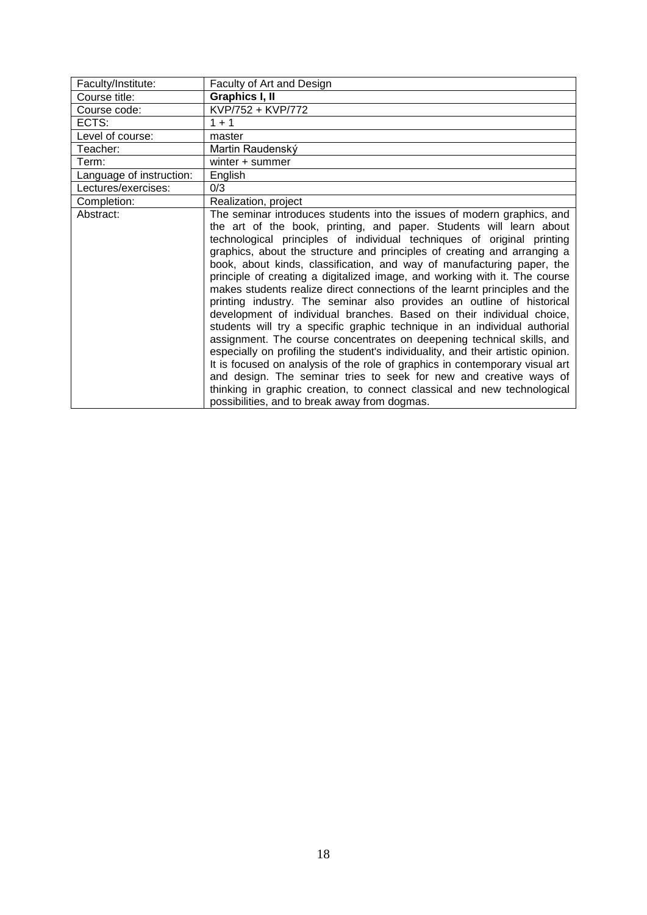<span id="page-17-0"></span>

| Faculty/Institute:       | Faculty of Art and Design                                                                                                                                                                                                                                                                                                                                                                                                                                                                                                                                                                                                                                                                                                                                                                                                                                                                                                                                                                                                                                                                                                                                                                                                  |
|--------------------------|----------------------------------------------------------------------------------------------------------------------------------------------------------------------------------------------------------------------------------------------------------------------------------------------------------------------------------------------------------------------------------------------------------------------------------------------------------------------------------------------------------------------------------------------------------------------------------------------------------------------------------------------------------------------------------------------------------------------------------------------------------------------------------------------------------------------------------------------------------------------------------------------------------------------------------------------------------------------------------------------------------------------------------------------------------------------------------------------------------------------------------------------------------------------------------------------------------------------------|
| Course title:            | Graphics I, II                                                                                                                                                                                                                                                                                                                                                                                                                                                                                                                                                                                                                                                                                                                                                                                                                                                                                                                                                                                                                                                                                                                                                                                                             |
| Course code:             | KVP/752 + KVP/772                                                                                                                                                                                                                                                                                                                                                                                                                                                                                                                                                                                                                                                                                                                                                                                                                                                                                                                                                                                                                                                                                                                                                                                                          |
| ECTS:                    | $1 + 1$                                                                                                                                                                                                                                                                                                                                                                                                                                                                                                                                                                                                                                                                                                                                                                                                                                                                                                                                                                                                                                                                                                                                                                                                                    |
| Level of course:         | master                                                                                                                                                                                                                                                                                                                                                                                                                                                                                                                                                                                                                                                                                                                                                                                                                                                                                                                                                                                                                                                                                                                                                                                                                     |
| Teacher:                 | Martin Raudenský                                                                                                                                                                                                                                                                                                                                                                                                                                                                                                                                                                                                                                                                                                                                                                                                                                                                                                                                                                                                                                                                                                                                                                                                           |
| Term:                    | winter + summer                                                                                                                                                                                                                                                                                                                                                                                                                                                                                                                                                                                                                                                                                                                                                                                                                                                                                                                                                                                                                                                                                                                                                                                                            |
| Language of instruction: | English                                                                                                                                                                                                                                                                                                                                                                                                                                                                                                                                                                                                                                                                                                                                                                                                                                                                                                                                                                                                                                                                                                                                                                                                                    |
| Lectures/exercises:      | 0/3                                                                                                                                                                                                                                                                                                                                                                                                                                                                                                                                                                                                                                                                                                                                                                                                                                                                                                                                                                                                                                                                                                                                                                                                                        |
| Completion:              | Realization, project                                                                                                                                                                                                                                                                                                                                                                                                                                                                                                                                                                                                                                                                                                                                                                                                                                                                                                                                                                                                                                                                                                                                                                                                       |
| Abstract:                | The seminar introduces students into the issues of modern graphics, and<br>the art of the book, printing, and paper. Students will learn about<br>technological principles of individual techniques of original printing<br>graphics, about the structure and principles of creating and arranging a<br>book, about kinds, classification, and way of manufacturing paper, the<br>principle of creating a digitalized image, and working with it. The course<br>makes students realize direct connections of the learnt principles and the<br>printing industry. The seminar also provides an outline of historical<br>development of individual branches. Based on their individual choice,<br>students will try a specific graphic technique in an individual authorial<br>assignment. The course concentrates on deepening technical skills, and<br>especially on profiling the student's individuality, and their artistic opinion.<br>It is focused on analysis of the role of graphics in contemporary visual art<br>and design. The seminar tries to seek for new and creative ways of<br>thinking in graphic creation, to connect classical and new technological<br>possibilities, and to break away from dogmas. |